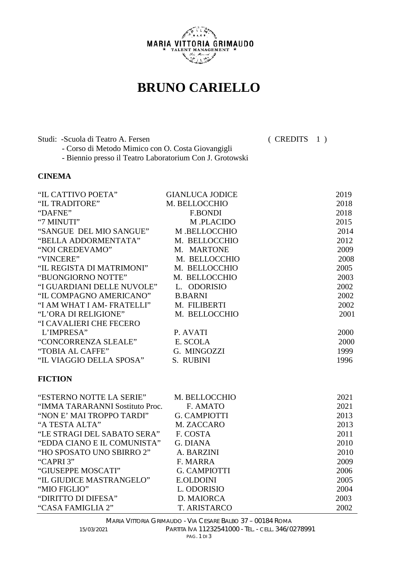

## **BRUNO CARIELLO**

Studi: -Scuola di Teatro A. Fersen ( CREDITS 1 ) - Corso di Metodo Mimico con O. Costa Giovangigli - Biennio presso il Teatro Laboratorium Con J. Grotowski

## **CINEMA**

| "IL CATTIVO POETA"                   | <b>GIANLUCA JODICE</b> | 2019 |
|--------------------------------------|------------------------|------|
| "IL TRADITORE"                       | M. BELLOCCHIO          | 2018 |
| "DAFNE"                              | <b>F.BONDI</b>         | 2018 |
| "7 MINUTI"                           | M.PLACIDO              | 2015 |
| "SANGUE DEL MIO SANGUE" M.BELLOCCHIO |                        | 2014 |
| "BELLA ADDORMENTATA"                 | M. BELLOCCHIO          | 2012 |
| "NOI CREDEVAMO"                      | M. MARTONE             | 2009 |
| "VINCERE"                            | M. BELLOCCHIO          | 2008 |
| "IL REGISTA DI MATRIMONI"            | M. BELLOCCHIO          | 2005 |
| "BUONGIORNO NOTTE"                   | M. BELLOCCHIO          | 2003 |
| "I GUARDIANI DELLE NUVOLE"           | L. ODORISIO            | 2002 |
| "IL COMPAGNO AMERICANO"              | <b>B.BARNI</b>         | 2002 |
| "I AM WHAT I AM- FRATELLI"           | M. FILIBERTI           | 2002 |
| "L'ORA DI RELIGIONE"                 | M. BELLOCCHIO          | 2001 |
| "I CAVALIERI CHE FECERO              |                        |      |
| L'IMPRESA"                           | P. AVATI               | 2000 |
| "CONCORRENZA SLEALE"                 | E. SCOLA               | 2000 |
| "TOBIA AL CAFFE"                     | G. MINGOZZI            | 1999 |
| "IL VIAGGIO DELLA SPOSA"             | S. RUBINI              | 1996 |
| <b>FICTION</b>                       |                        |      |

| "ESTERNO NOTTE LA SERIE"        | M. BELLOCCHIO       | 2021 |
|---------------------------------|---------------------|------|
| "IMMA TARARANNI Sostituto Proc. | F. AMATO            | 2021 |
| "NON E' MAI TROPPO TARDI"       | <b>G. CAMPIOTTI</b> | 2013 |
| "A TESTA ALTA"                  | M. ZACCARO          | 2013 |
| "LE STRAGI DEL SABATO SERA"     | F. COSTA            | 2011 |
| "EDDA CIANO E IL COMUNISTA"     | G. DIANA            | 2010 |
| "HO SPOSATO UNO SBIRRO 2"       | A. BARZINI          | 2010 |
| "CAPRI3"                        | F. MARRA            | 2009 |
| "GIUSEPPE MOSCATI"              | G. CAMPIOTTI        | 2006 |
| "IL GIUDICE MASTRANGELO"        | <b>E.OLDOINI</b>    | 2005 |
| "MIO FIGLIO"                    | L. ODORISIO         | 2004 |
| "DIRITTO DI DIFESA"             | D. MAIORCA          | 2003 |
| "CASA FAMIGLIA 2"               | T. ARISTARCO        | 2002 |